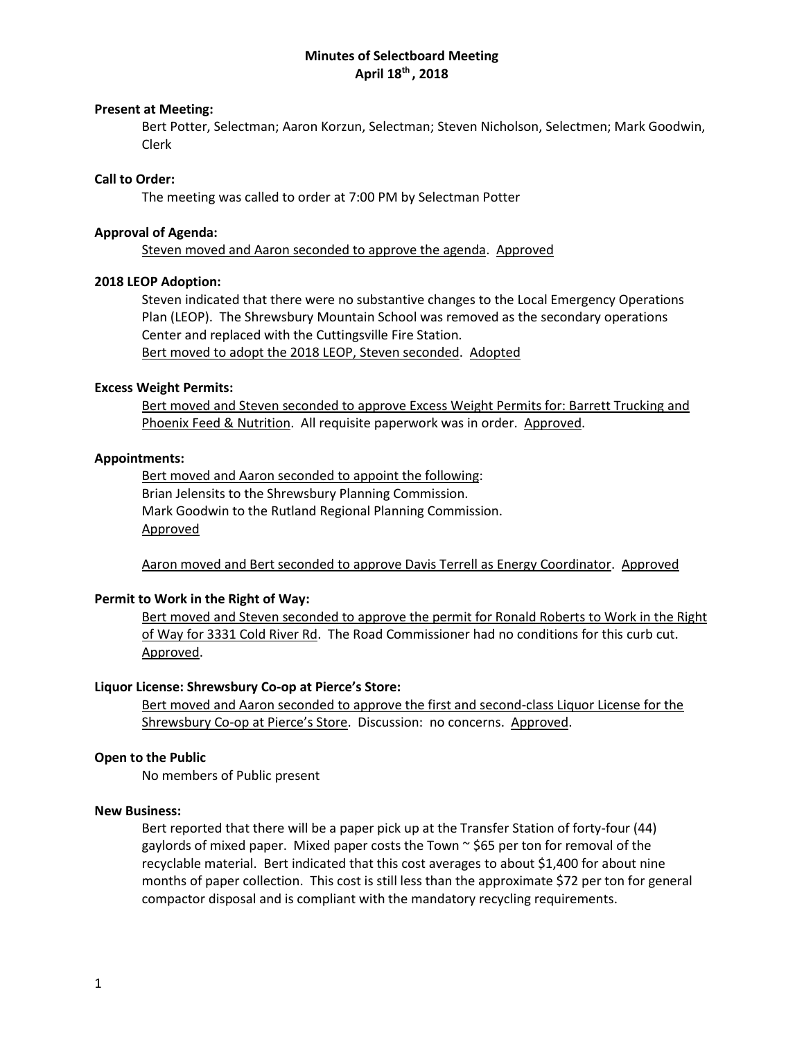# **Minutes of Selectboard Meeting April 18th , 2018**

### **Present at Meeting:**

Bert Potter, Selectman; Aaron Korzun, Selectman; Steven Nicholson, Selectmen; Mark Goodwin, Clerk

### **Call to Order:**

The meeting was called to order at 7:00 PM by Selectman Potter

## **Approval of Agenda:**

Steven moved and Aaron seconded to approve the agenda. Approved

## **2018 LEOP Adoption:**

Steven indicated that there were no substantive changes to the Local Emergency Operations Plan (LEOP). The Shrewsbury Mountain School was removed as the secondary operations Center and replaced with the Cuttingsville Fire Station. Bert moved to adopt the 2018 LEOP, Steven seconded. Adopted

## **Excess Weight Permits:**

Bert moved and Steven seconded to approve Excess Weight Permits for: Barrett Trucking and Phoenix Feed & Nutrition. All requisite paperwork was in order. Approved.

## **Appointments:**

Bert moved and Aaron seconded to appoint the following: Brian Jelensits to the Shrewsbury Planning Commission. Mark Goodwin to the Rutland Regional Planning Commission. Approved

Aaron moved and Bert seconded to approve Davis Terrell as Energy Coordinator. Approved

# **Permit to Work in the Right of Way:**

Bert moved and Steven seconded to approve the permit for Ronald Roberts to Work in the Right of Way for 3331 Cold River Rd. The Road Commissioner had no conditions for this curb cut. Approved.

#### **Liquor License: Shrewsbury Co-op at Pierce's Store:**

Bert moved and Aaron seconded to approve the first and second-class Liquor License for the Shrewsbury Co-op at Pierce's Store. Discussion: no concerns. Approved.

#### **Open to the Public**

No members of Public present

### **New Business:**

Bert reported that there will be a paper pick up at the Transfer Station of forty-four (44) gaylords of mixed paper. Mixed paper costs the Town  $\sim$  \$65 per ton for removal of the recyclable material. Bert indicated that this cost averages to about \$1,400 for about nine months of paper collection. This cost is still less than the approximate \$72 per ton for general compactor disposal and is compliant with the mandatory recycling requirements.